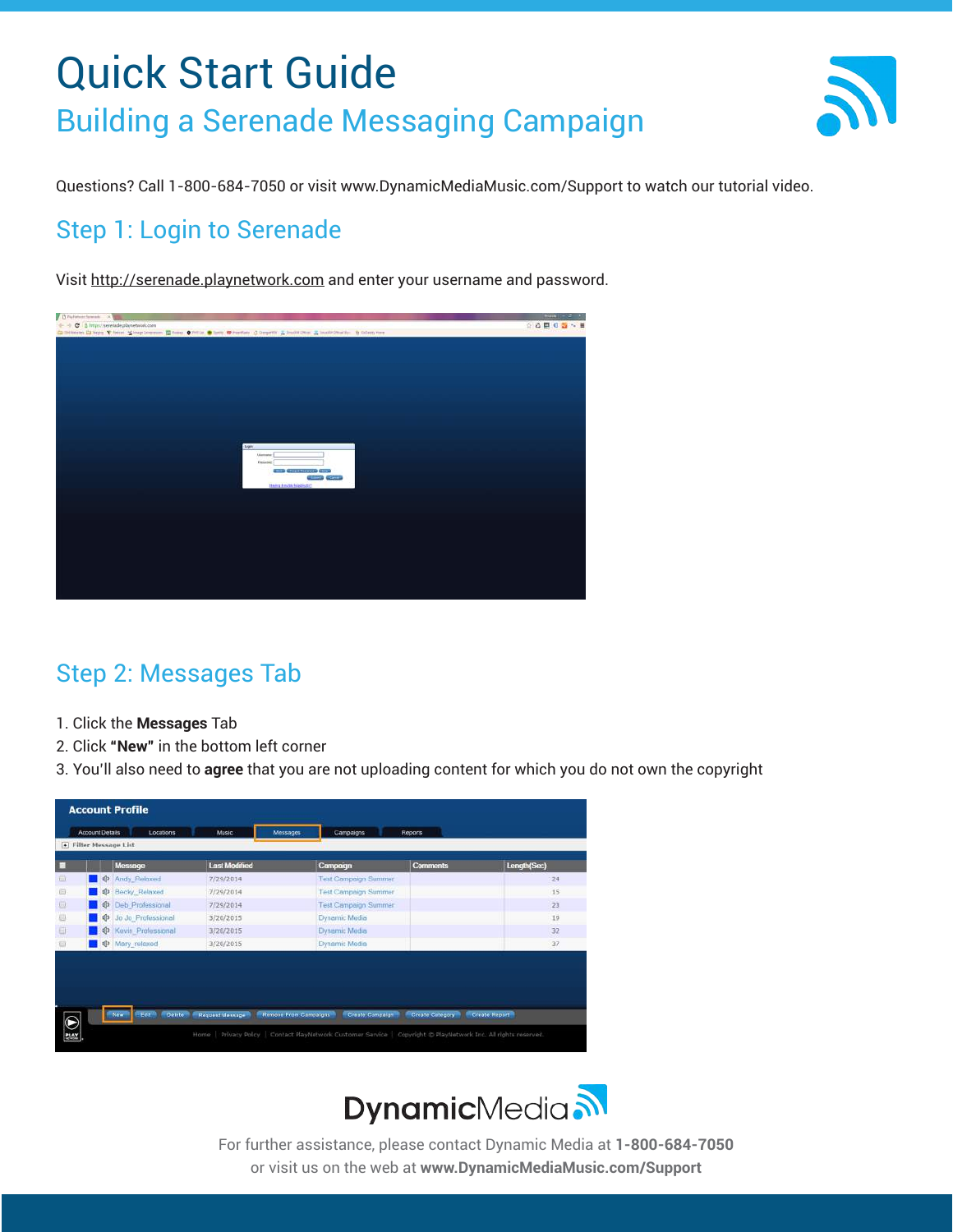

Questions? Call 1-800-684-7050 or visit www.DynamicMediaMusic.com/Support to watch our tutorial video.

#### Step 1: Login to Serenade

Visit http://serenade.playnetwork.com and enter your username and password.



### Step 2: Messages Tab

- 1. Click the **Messages** Tab
- 2. Click **"New"** in the bottom left corner
- 3. You'll also need to **agree** that you are not uploading content for which you do not own the copyright



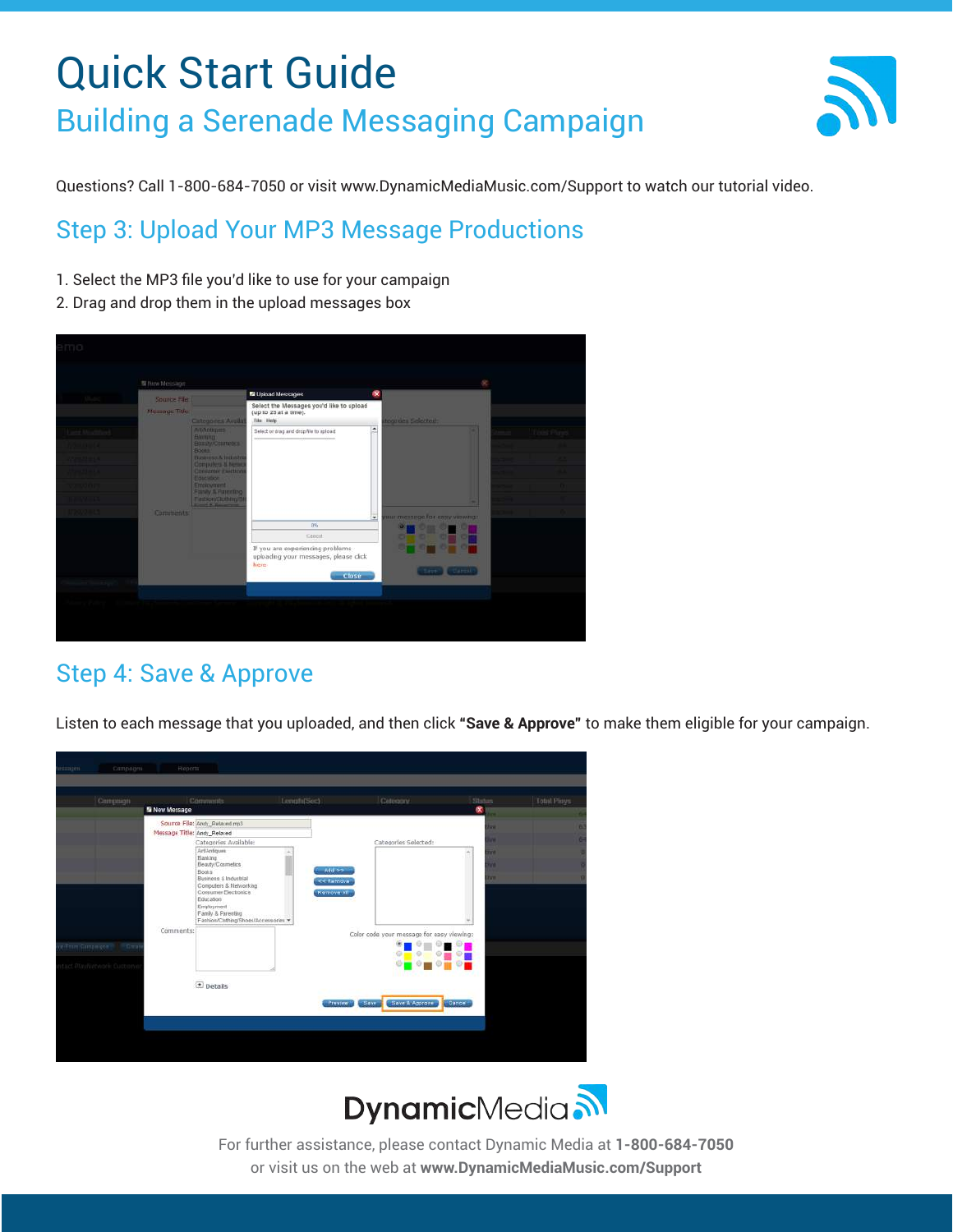

Questions? Call 1-800-684-7050 or visit www.DynamicMediaMusic.com/Support to watch our tutorial video.

### Step 3: Upload Your MP3 Message Productions

- 1. Select the MP3 file you'd like to use for your campaign
- 2. Drag and drop them in the upload messages box



### Step 4: Save & Approve

Listen to each message that you uploaded, and then click **"Save & Approve"** to make them eligible for your campaign.



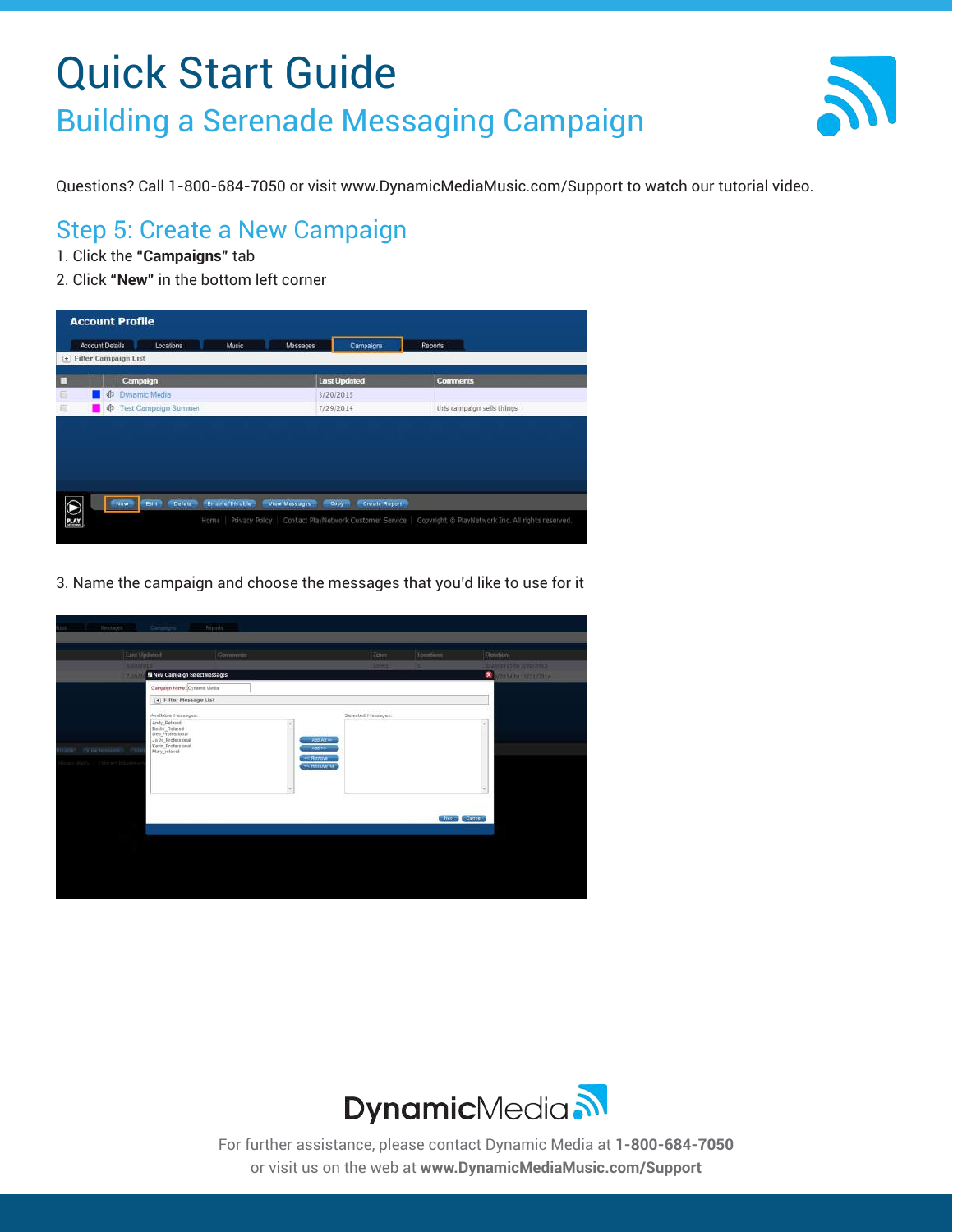

Questions? Call 1-800-684-7050 or visit www.DynamicMediaMusic.com/Support to watch our tutorial video.

#### Step 5: Create a New Campaign

- 1. Click the **"Campaigns"** tab
- 2. Click **"New"** in the bottom left corner

|                                                             | <b>Account Profile</b><br><b>Account Details</b><br>Locations<br><b>Music</b><br>Messages<br>Reports<br>Campaigns |                                                                    |                        |                                                                                                                  |  |  |  |  |  |
|-------------------------------------------------------------|-------------------------------------------------------------------------------------------------------------------|--------------------------------------------------------------------|------------------------|------------------------------------------------------------------------------------------------------------------|--|--|--|--|--|
| <b>Filter Campaign List</b><br>$\left  \frac{1}{2} \right $ |                                                                                                                   |                                                                    |                        |                                                                                                                  |  |  |  |  |  |
|                                                             |                                                                                                                   | Campaign                                                           | <b>Last Updated</b>    | <b>Comments</b>                                                                                                  |  |  |  |  |  |
| o                                                           | ∎ ⊄                                                                                                               | Dynamic Media                                                      | 3/20/2015              |                                                                                                                  |  |  |  |  |  |
| 道                                                           | $\blacksquare$                                                                                                    | <b>Test Campaign Summer</b>                                        | 7/29/2014              | this campaign sells things                                                                                       |  |  |  |  |  |
|                                                             |                                                                                                                   |                                                                    |                        |                                                                                                                  |  |  |  |  |  |
|                                                             |                                                                                                                   |                                                                    |                        |                                                                                                                  |  |  |  |  |  |
|                                                             |                                                                                                                   |                                                                    |                        |                                                                                                                  |  |  |  |  |  |
|                                                             |                                                                                                                   | Enable/Disable<br>Defete-<br>View Messages<br>Eair?<br><b>Name</b> | Create Report<br>Copy- |                                                                                                                  |  |  |  |  |  |
|                                                             |                                                                                                                   |                                                                    |                        |                                                                                                                  |  |  |  |  |  |
| $\bigcirc$                                                  |                                                                                                                   |                                                                    |                        | Home   Privacy Policy   Contact PlayNetwork Customer Service   Copyright @ PlayNetwork Inc. All rights reserved. |  |  |  |  |  |

3. Name the campaign and choose the messages that you'd like to use for it

|                             | Lant Updated                                                                                  | Commmte. |                            | Zom                | focations                | Rossian.                                                   |
|-----------------------------|-----------------------------------------------------------------------------------------------|----------|----------------------------|--------------------|--------------------------|------------------------------------------------------------|
|                             | <b>A/22/2015</b><br><b>N</b> New Campaign Select Messages<br>7/39/2                           |          |                            | $2m+1$             |                          | <b>SIZECRES IN DISPLAYERS</b><br><b>C</b> MARTIN CONTRACTO |
|                             | Cargaign Name: Oysamic Media                                                                  |          |                            |                    |                          |                                                            |
|                             | Filter Message List                                                                           |          |                            |                    |                          |                                                            |
|                             | Available Messages:                                                                           |          |                            | Selected Messages: |                          |                                                            |
|                             | Andy_Relaxed<br>Becky_Relaxed<br>Del_Professional<br>Jo Jo_Professional<br>Revin_Professional |          |                            |                    |                          |                                                            |
|                             |                                                                                               |          | <b>Add At us-</b>          |                    |                          |                                                            |
| mate entertaine en          | May retired                                                                                   |          | Addision                   |                    |                          |                                                            |
| Hinan mins 1 dates + Havier |                                                                                               |          | et Banner<br><< Retrove AT |                    |                          |                                                            |
|                             |                                                                                               |          |                            |                    |                          |                                                            |
|                             |                                                                                               |          |                            |                    |                          |                                                            |
|                             |                                                                                               |          |                            |                    |                          |                                                            |
|                             |                                                                                               |          |                            |                    | <b>Highland</b> Channels |                                                            |
|                             |                                                                                               |          |                            |                    |                          |                                                            |
|                             |                                                                                               |          |                            |                    |                          |                                                            |
|                             |                                                                                               |          |                            |                    |                          |                                                            |